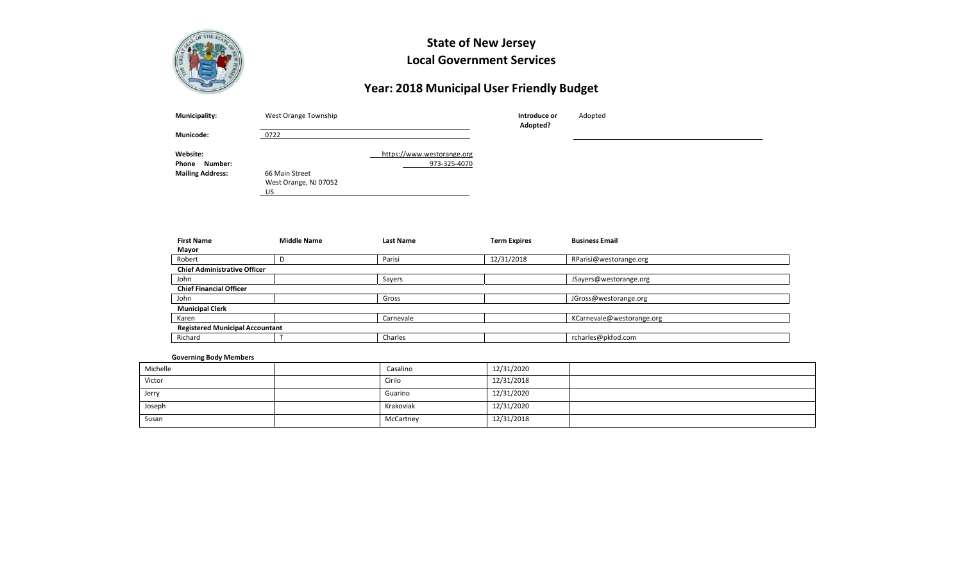

# **State of New Jersey Local Government Services**

# **Year: 2018 Municipal User Friendly Budget**

| <b>Municipality:</b>         | West Orange Township                          | Introduce or | Adopted |  |
|------------------------------|-----------------------------------------------|--------------|---------|--|
| <b>Municode:</b>             | 0722                                          | Adopted?     |         |  |
| Website:<br>Phone<br>Number: | https://www.westorange.org                    | 973-325-4070 |         |  |
| <b>Mailing Address:</b>      | 66 Main Street<br>West Orange, NJ 07052<br>US |              |         |  |

| <b>First Name</b>                      | <b>Middle Name</b> | <b>Last Name</b> | <b>Term Expires</b> | <b>Business Email</b>     |  |  |  |
|----------------------------------------|--------------------|------------------|---------------------|---------------------------|--|--|--|
| Mayor                                  |                    |                  |                     |                           |  |  |  |
| Robert                                 |                    | Parisi           | 12/31/2018          | RParisi@westorange.org    |  |  |  |
| <b>Chief Administrative Officer</b>    |                    |                  |                     |                           |  |  |  |
| John                                   |                    | Sayers           |                     | JSayers@westorange.org    |  |  |  |
| <b>Chief Financial Officer</b>         |                    |                  |                     |                           |  |  |  |
| John                                   |                    | Gross            |                     | JGross@westorange.org     |  |  |  |
| <b>Municipal Clerk</b>                 |                    |                  |                     |                           |  |  |  |
| Karen                                  |                    | Carnevale        |                     | KCarnevale@westorange.org |  |  |  |
| <b>Registered Municipal Accountant</b> |                    |                  |                     |                           |  |  |  |
| Richard                                |                    | Charles          |                     | rcharles@pkfod.com        |  |  |  |

### **Governing Body Members**

| Michelle | Casalino  | 12/31/2020 |  |
|----------|-----------|------------|--|
| Victor   | Cirilo    | 12/31/2018 |  |
| Jerry    | Guarino   | 12/31/2020 |  |
| Joseph   | Krakoviak | 12/31/2020 |  |
| Susan    | McCartney | 12/31/2018 |  |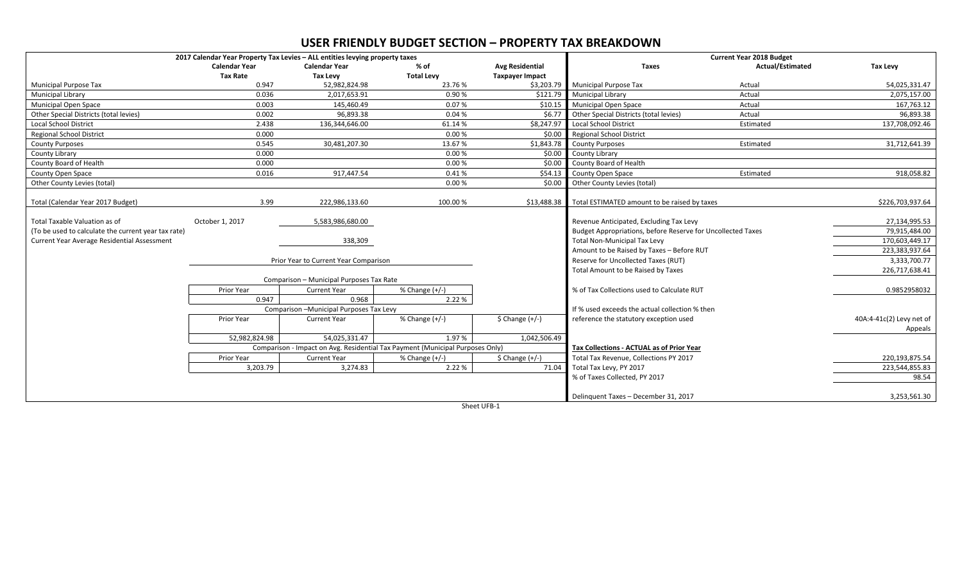## **USER FRIENDLY BUDGET SECTION – PROPERTY TAX BREAKDOWN**

|                                                     | 2017 Calendar Year Property Tax Levies - ALL entities levying property taxes |                                          |                                                                               |                        |                                                             | <b>Current Year 2018 Budget</b> |                          |
|-----------------------------------------------------|------------------------------------------------------------------------------|------------------------------------------|-------------------------------------------------------------------------------|------------------------|-------------------------------------------------------------|---------------------------------|--------------------------|
|                                                     | <b>Calendar Year</b>                                                         | <b>Calendar Year</b>                     | % of                                                                          | <b>Avg Residential</b> | <b>Taxes</b>                                                | <b>Actual/Estimated</b>         | <b>Tax Levy</b>          |
|                                                     | <b>Tax Rate</b>                                                              | <b>Tax Levy</b>                          | <b>Total Levy</b>                                                             | <b>Taxpayer Impact</b> |                                                             |                                 |                          |
| <b>Municipal Purpose Tax</b>                        | 0.947                                                                        | 52,982,824.98                            | 23.76%                                                                        | \$3,203.79             | <b>Municipal Purpose Tax</b>                                | Actual                          | 54,025,331.47            |
| Municipal Library                                   | 0.036                                                                        | 2,017,653.91                             | 0.90%                                                                         | \$121.79               | <b>Municipal Library</b>                                    | Actual                          | 2,075,157.00             |
| <b>Municipal Open Space</b>                         | 0.003                                                                        | 145,460.49                               | 0.07%                                                                         | \$10.15                | <b>Municipal Open Space</b>                                 | Actual                          | 167,763.12               |
| Other Special Districts (total levies)              | 0.002                                                                        | 96,893.38                                | 0.04%                                                                         | \$6.77                 | Other Special Districts (total levies)                      | Actual                          | 96,893.38                |
| <b>Local School District</b>                        | 2.438                                                                        | 136,344,646.00                           | 61.14%                                                                        | \$8,247.97             | <b>Local School District</b>                                | Estimated                       | 137,708,092.46           |
| <b>Regional School District</b>                     | 0.000                                                                        |                                          | 0.00%                                                                         | \$0.00                 | <b>Regional School District</b>                             |                                 |                          |
| <b>County Purposes</b>                              | 0.545                                                                        | 30,481,207.30                            | 13.67%                                                                        | \$1,843.78             | <b>County Purposes</b>                                      | Estimated                       | 31,712,641.39            |
| County Library                                      | 0.000                                                                        |                                          | 0.00%                                                                         | \$0.00                 | County Library                                              |                                 |                          |
| County Board of Health                              | 0.000                                                                        |                                          | 0.00%                                                                         | \$0.00                 | County Board of Health                                      |                                 |                          |
| County Open Space                                   | 0.016                                                                        | 917,447.54                               | 0.41%                                                                         | \$54.13                | <b>County Open Space</b>                                    | Estimated                       | 918,058.82               |
| Other County Levies (total)                         |                                                                              |                                          | 0.00%                                                                         | \$0.00                 | Other County Levies (total)                                 |                                 |                          |
|                                                     |                                                                              |                                          |                                                                               |                        |                                                             |                                 |                          |
| Total (Calendar Year 2017 Budget)                   | 3.99                                                                         | 222,986,133.60                           | 100.00%                                                                       | \$13,488.38            | Total ESTIMATED amount to be raised by taxes                |                                 | \$226,703,937.64         |
|                                                     |                                                                              |                                          |                                                                               |                        |                                                             |                                 |                          |
| Total Taxable Valuation as of                       | October 1, 2017                                                              | 5,583,986,680.00                         |                                                                               |                        | Revenue Anticipated, Excluding Tax Levy                     |                                 | 27,134,995.53            |
| (To be used to calculate the current year tax rate) |                                                                              |                                          |                                                                               |                        | Budget Appropriations, before Reserve for Uncollected Taxes |                                 | 79,915,484.00            |
| Current Year Average Residential Assessment         |                                                                              | 338,309                                  |                                                                               |                        | <b>Total Non-Municipal Tax Levy</b>                         |                                 | 170,603,449.17           |
|                                                     |                                                                              |                                          |                                                                               |                        | Amount to be Raised by Taxes - Before RUT                   |                                 | 223,383,937.64           |
|                                                     |                                                                              | Prior Year to Current Year Comparison    |                                                                               |                        | Reserve for Uncollected Taxes (RUT)                         |                                 | 3,333,700.77             |
|                                                     |                                                                              |                                          |                                                                               |                        | Total Amount to be Raised by Taxes                          |                                 | 226,717,638.41           |
|                                                     |                                                                              | Comparison - Municipal Purposes Tax Rate |                                                                               |                        |                                                             |                                 |                          |
|                                                     | Prior Year                                                                   | <b>Current Year</b>                      | % Change (+/-)                                                                |                        | % of Tax Collections used to Calculate RUT                  |                                 | 0.9852958032             |
|                                                     | 0.947                                                                        | 0.968                                    | 2.22 %                                                                        |                        |                                                             |                                 |                          |
|                                                     |                                                                              | Comparison - Municipal Purposes Tax Levy |                                                                               |                        | If % used exceeds the actual collection % then              |                                 |                          |
|                                                     | Prior Year                                                                   | <b>Current Year</b>                      | % Change $(+/-)$                                                              | $$$ Change $(+/-)$     | reference the statutory exception used                      |                                 | 40A:4-41c(2) Levy net of |
|                                                     |                                                                              |                                          |                                                                               |                        |                                                             |                                 | Appeals                  |
|                                                     | 52.982.824.98                                                                | 54.025.331.47                            | 1.97%                                                                         | 1,042,506.49           |                                                             |                                 |                          |
|                                                     |                                                                              |                                          | Comparison - Impact on Avg. Residential Tax Payment (Municipal Purposes Only) |                        | Tax Collections - ACTUAL as of Prior Year                   |                                 |                          |
|                                                     | Prior Year                                                                   | <b>Current Year</b>                      | % Change $(+/-)$                                                              | $$$ Change $(+/-)$     | Total Tax Revenue, Collections PY 2017                      |                                 | 220,193,875.54           |
|                                                     | 3,203.79                                                                     | 3,274.83                                 | 2.22 %                                                                        | 71.04                  | Total Tax Levy, PY 2017                                     |                                 | 223,544,855.83           |
|                                                     |                                                                              |                                          |                                                                               |                        | % of Taxes Collected, PY 2017                               |                                 | 98.54                    |
|                                                     |                                                                              |                                          |                                                                               |                        |                                                             |                                 |                          |
|                                                     |                                                                              |                                          |                                                                               |                        | Delinguent Taxes - December 31, 2017                        |                                 | 3,253,561.30             |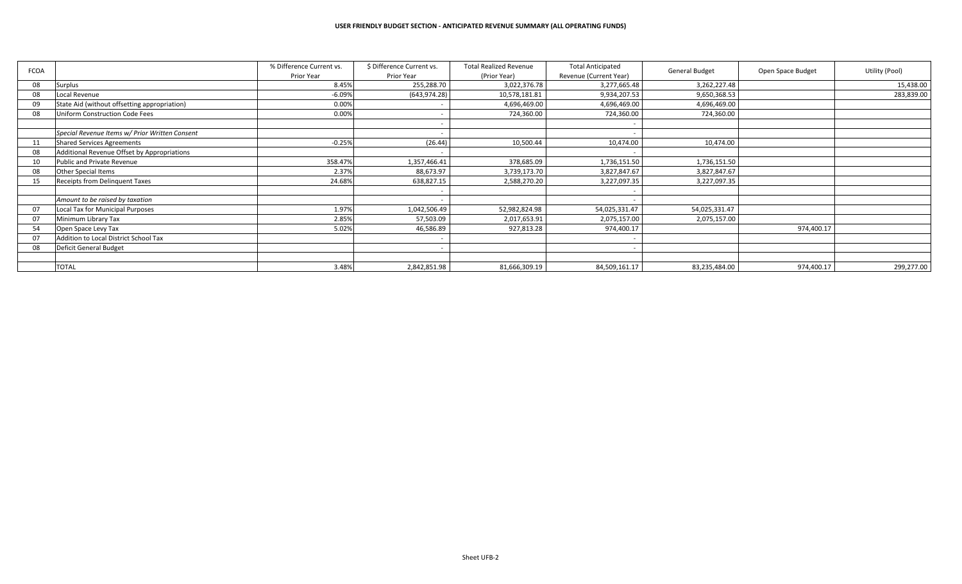| <b>FCOA</b> |                                                | % Difference Current vs. | \$ Difference Current vs. | <b>Total Realized Revenue</b> | <b>Total Anticipated</b> | <b>General Budget</b> | Open Space Budget | Utility (Pool) |
|-------------|------------------------------------------------|--------------------------|---------------------------|-------------------------------|--------------------------|-----------------------|-------------------|----------------|
|             |                                                | Prior Year               | Prior Year                | (Prior Year)                  | Revenue (Current Year)   |                       |                   |                |
| 08          | Surplus                                        | 8.45%                    | 255,288.70                | 3,022,376.78                  | 3,277,665.48             | 3,262,227.48          |                   | 15,438.00      |
| 08          | Local Revenue                                  | $-6.09%$                 | (643, 974.28)             | 10,578,181.81                 | 9,934,207.53             | 9,650,368.53          |                   | 283,839.00     |
| 09          | State Aid (without offsetting appropriation)   | 0.00%                    |                           | 4,696,469.00                  | 4,696,469.00             | 4,696,469.00          |                   |                |
| 08          | Uniform Construction Code Fees                 | 0.00%                    |                           | 724,360.00                    | 724,360.00               | 724,360.00            |                   |                |
|             |                                                |                          |                           |                               |                          |                       |                   |                |
|             | Special Revenue Items w/ Prior Written Consent |                          |                           |                               |                          |                       |                   |                |
| 11          | <b>Shared Services Agreements</b>              | $-0.25%$                 | (26.44)                   | 10,500.44                     | 10,474.00                | 10,474.00             |                   |                |
| 08          | Additional Revenue Offset by Appropriations    |                          |                           |                               |                          |                       |                   |                |
|             | Public and Private Revenue                     | 358.47%                  | 1,357,466.41              | 378,685.09                    | 1,736,151.50             | 1,736,151.50          |                   |                |
| 08          | Other Special Items                            | 2.37%                    | 88,673.97                 | 3,739,173.70                  | 3,827,847.67             | 3,827,847.67          |                   |                |
| 15          | <b>Receipts from Delinguent Taxes</b>          | 24.68%                   | 638,827.15                | 2,588,270.20                  | 3,227,097.35             | 3,227,097.35          |                   |                |
|             |                                                |                          |                           |                               |                          |                       |                   |                |
|             | Amount to be raised by taxation                |                          |                           |                               |                          |                       |                   |                |
| 07          | Local Tax for Municipal Purposes               | 1.97%                    | 1,042,506.49              | 52,982,824.98                 | 54,025,331.47            | 54,025,331.47         |                   |                |
| 07          | Minimum Library Tax                            | 2.85%                    | 57,503.09                 | 2,017,653.91                  | 2,075,157.00             | 2,075,157.00          |                   |                |
| 54          | Open Space Levy Tax                            | 5.02%                    | 46,586.89                 | 927,813.28                    | 974,400.17               |                       | 974,400.17        |                |
|             | Addition to Local District School Tax          |                          |                           |                               |                          |                       |                   |                |
| 08          | Deficit General Budget                         |                          |                           |                               |                          |                       |                   |                |
|             |                                                |                          |                           |                               |                          |                       |                   |                |
|             | <b>TOTAL</b>                                   | 3.48%                    | 2,842,851.98              | 81,666,309.19                 | 84,509,161.17            | 83,235,484.00         | 974,400.17        | 299,277.00     |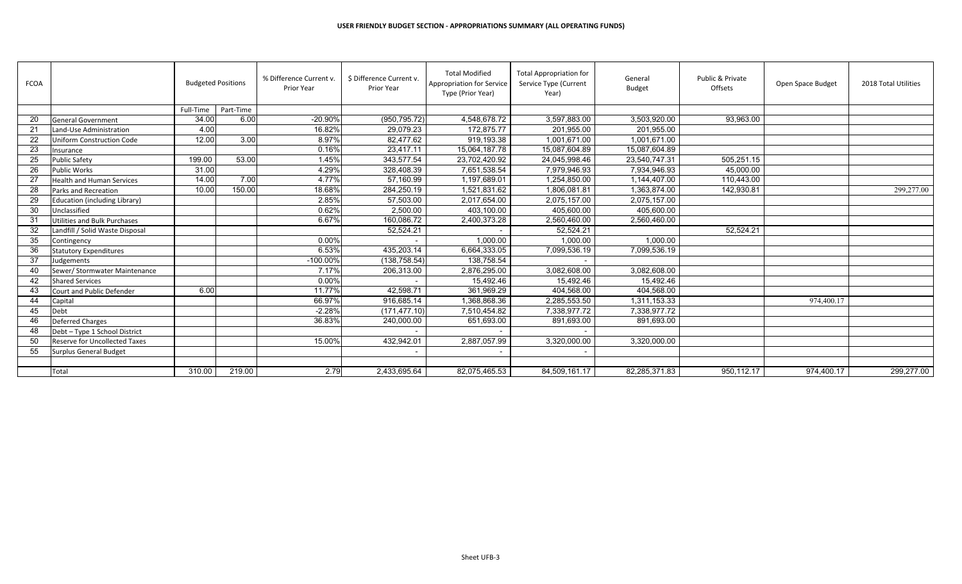| <b>FCOA</b> |                                      | <b>Budgeted Positions</b> |           | % Difference Current v.<br><b>Prior Year</b> | \$ Difference Current v.<br><b>Prior Year</b> | <b>Total Modified</b><br>Appropriation for Service<br>Type (Prior Year) | <b>Total Appropriation for</b><br>Service Type (Current<br>Year) | General<br><b>Budget</b> | Public & Private<br>Offsets | Open Space Budget | 2018 Total Utilities |
|-------------|--------------------------------------|---------------------------|-----------|----------------------------------------------|-----------------------------------------------|-------------------------------------------------------------------------|------------------------------------------------------------------|--------------------------|-----------------------------|-------------------|----------------------|
|             |                                      | Full-Time                 | Part-Time |                                              |                                               |                                                                         |                                                                  |                          |                             |                   |                      |
| 20          | <b>General Government</b>            | 34.00                     | 6.00      | -20.90%                                      | (950, 795.72)                                 | 4,548,678.72                                                            | 3,597,883.00                                                     | 3,503,920.00             | 93,963.00                   |                   |                      |
| 21          | Land-Use Administration              | 4.00                      |           | 16.82%                                       | 29,079.23                                     | 172,875.77                                                              | 201,955.00                                                       | 201,955.00               |                             |                   |                      |
| 22          | <b>Uniform Construction Code</b>     | 12.00                     | 3.00      | 8.97%                                        | 82,477.62                                     | 919.193.38                                                              | 1,001,671.00                                                     | 1.001.671.00             |                             |                   |                      |
| 23          | Insurance                            |                           |           | 0.16%                                        | 23,417.11                                     | 15,064,187.78                                                           | 15,087,604.89                                                    | 15,087,604.89            |                             |                   |                      |
| 25          | <b>Public Safety</b>                 | 199.00                    | 53.00     | 1.45%                                        | 343,577.54                                    | 23,702,420.92                                                           | 24,045,998.46                                                    | 23,540,747.31            | 505,251.15                  |                   |                      |
| 26          | Public Works                         | 31.00                     |           | 4.29%                                        | 328,408.39                                    | 7,651,538.54                                                            | 7,979,946.93                                                     | 7,934,946.93             | 45,000.00                   |                   |                      |
| 27          | <b>Health and Human Services</b>     | 14.00                     | 7.00      | 4.77%                                        | 57,160.99                                     | 1,197,689.01                                                            | 1,254,850.00                                                     | 1,144,407.00             | 110,443.00                  |                   |                      |
| 28          | Parks and Recreation                 | 10.00                     | 150.00    | 18.68%                                       | 284,250.19                                    | 1,521,831.62                                                            | 1,806,081.81                                                     | 1,363,874.00             | 142,930.81                  |                   | 299,277.00           |
| 29          | Education (including Library)        |                           |           | 2.85%                                        | 57,503.00                                     | 2,017,654.00                                                            | 2,075,157.00                                                     | 2,075,157.00             |                             |                   |                      |
| 30          | Unclassified                         |                           |           | 0.62%                                        | 2,500.00                                      | 403,100.00                                                              | 405,600.00                                                       | 405,600.00               |                             |                   |                      |
| 31          | Utilities and Bulk Purchases         |                           |           | 6.67%                                        | 160,086.72                                    | 2,400,373.28                                                            | 2,560,460.00                                                     | 2,560,460.00             |                             |                   |                      |
| 32          | Landfill / Solid Waste Disposal      |                           |           |                                              | 52,524.21                                     |                                                                         | 52,524.21                                                        |                          | 52,524.21                   |                   |                      |
| 35          | Contingency                          |                           |           | 0.00%                                        |                                               | 1,000.00                                                                | 1.000.00                                                         | 1,000.00                 |                             |                   |                      |
| 36          | <b>Statutory Expenditures</b>        |                           |           | 6.53%                                        | 435,203.14                                    | 6,664,333.05                                                            | 7,099,536.19                                                     | 7,099,536.19             |                             |                   |                      |
| 37          | ludgements                           |                           |           | $-100.00%$                                   | (138, 758.54)                                 | 138,758.54                                                              |                                                                  |                          |                             |                   |                      |
| 40          | Sewer/ Stormwater Maintenance        |                           |           | 7.17%                                        | 206,313.00                                    | 2,876,295.00                                                            | 3,082,608.00                                                     | 3,082,608.00             |                             |                   |                      |
| 42          | <b>Shared Services</b>               |                           |           | 0.00%                                        |                                               | 15,492.46                                                               | 15,492.46                                                        | 15,492.46                |                             |                   |                      |
| 43          | Court and Public Defender            | 6.00                      |           | 11.77%                                       | 42,598.71                                     | 361,969.29                                                              | 404,568.00                                                       | 404,568.00               |                             |                   |                      |
| 44          | Capital                              |                           |           | 66.97%                                       | 916,685.14                                    | 1,368,868.36                                                            | 2,285,553.50                                                     | 1,311,153.33             |                             | 974,400.17        |                      |
| 45          | Debt                                 |                           |           | $-2.28%$                                     | (171, 477, 10)                                | 7,510,454.82                                                            | 7,338,977.72                                                     | 7,338,977.72             |                             |                   |                      |
| 46          | <b>Deferred Charges</b>              |                           |           | 36.83%                                       | 240,000.00                                    | 651,693.00                                                              | 891,693.00                                                       | 891,693.00               |                             |                   |                      |
| 48          | Debt - Type 1 School District        |                           |           |                                              |                                               |                                                                         | $\sim$                                                           |                          |                             |                   |                      |
| 50          | <b>Reserve for Uncollected Taxes</b> |                           |           | 15.00%                                       | 432,942.01                                    | 2,887,057.99                                                            | 3,320,000.00                                                     | 3,320,000.00             |                             |                   |                      |
| 55          | Surplus General Budget               |                           |           |                                              |                                               |                                                                         | $\sim$                                                           |                          |                             |                   |                      |
|             |                                      |                           |           |                                              |                                               |                                                                         |                                                                  |                          |                             |                   |                      |
|             | Total                                | 310.00                    | 219.00    | 2.79                                         | 2,433,695.64                                  | 82,075,465.53                                                           | 84,509,161.17                                                    | 82,285,371.83            | 950,112.17                  | 974,400.17        | 299,277.00           |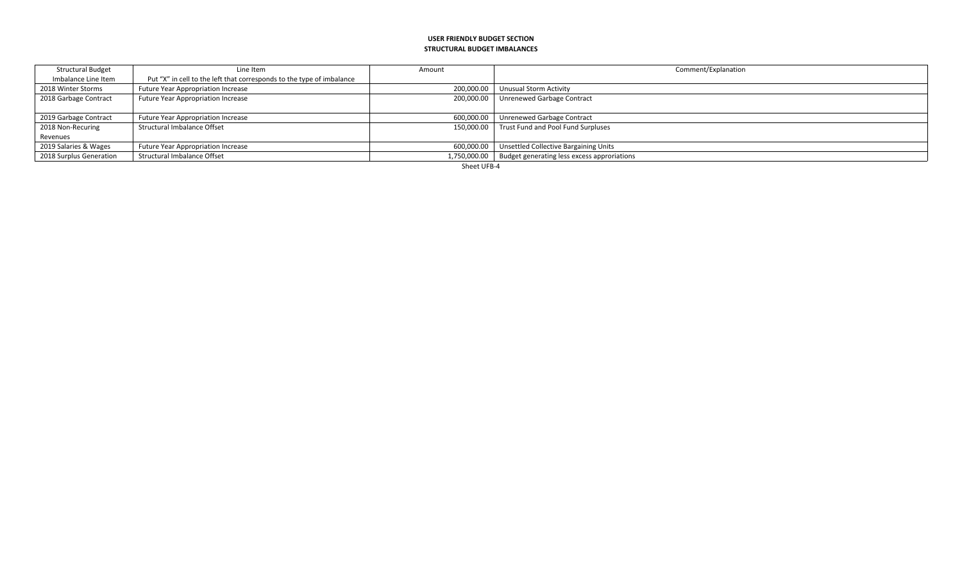#### **USER FRIENDLY BUDGET SECTION STRUCTURAL BUDGET IMBALANCES**

| <b>Structural Budget</b> | Line Item                                                             | Amount                             | Comment/Explanation                                        |
|--------------------------|-----------------------------------------------------------------------|------------------------------------|------------------------------------------------------------|
| Imbalance Line Item      | Put "X" in cell to the left that corresponds to the type of imbalance |                                    |                                                            |
| 2018 Winter Storms       | <b>Future Year Appropriation Increase</b>                             | 200.000.00                         | Unusual Storm Activity                                     |
| 2018 Garbage Contract    | <b>Future Year Appropriation Increase</b>                             | 200.000.00                         | Unrenewed Garbage Contract                                 |
|                          |                                                                       |                                    |                                                            |
| 2019 Garbage Contract    | Future Year Appropriation Increase                                    | 600,000.00                         | Unrenewed Garbage Contract                                 |
| 2018 Non-Recuring        | Structural Imbalance Offset                                           | 150.000.00                         | Trust Fund and Pool Fund Surpluses                         |
| Revenues                 |                                                                       |                                    |                                                            |
| 2019 Salaries & Wages    | Future Year Appropriation Increase                                    |                                    | 600,000.00   Unsettled Collective Bargaining Units         |
| 2018 Surplus Generation  | Structural Imbalance Offset                                           |                                    | 1,750,000.00   Budget generating less excess approriations |
|                          |                                                                       | $\sim$ $\sim$ $\sim$ $\sim$ $\sim$ |                                                            |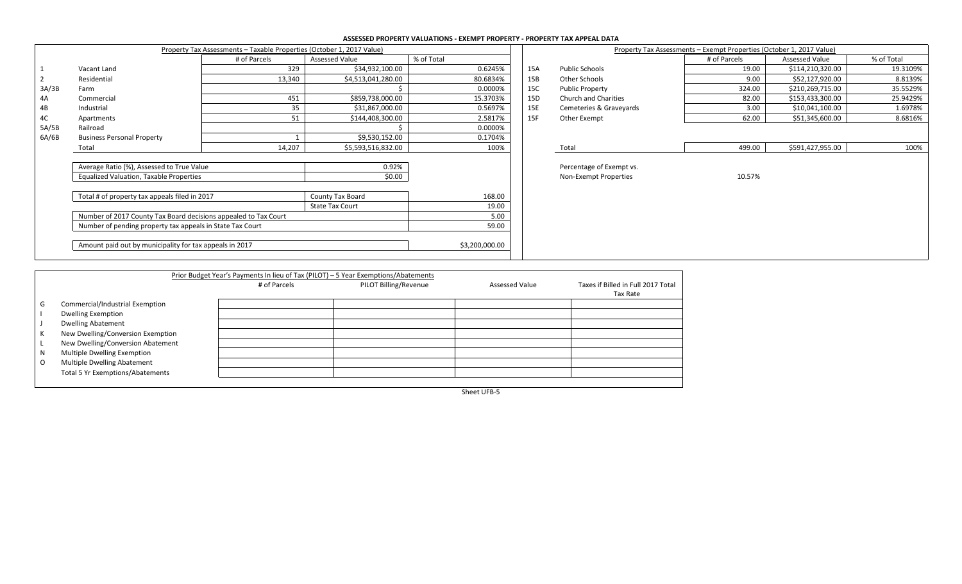## **ASSESSED PROPERTY VALUATIONS - EXEMPT PROPERTY - PROPERTY TAX APPEAL DATA**

|       |                                                                                                                              | Property Tax Assessments - Taxable Properties (October 1, 2017 Value) |                        |                | Property Tax Assessments - Exempt Properties (October 1, 2017 Value) |                             |              |                  |            |
|-------|------------------------------------------------------------------------------------------------------------------------------|-----------------------------------------------------------------------|------------------------|----------------|----------------------------------------------------------------------|-----------------------------|--------------|------------------|------------|
|       |                                                                                                                              | # of Parcels                                                          | Assessed Value         | % of Total     |                                                                      |                             | # of Parcels | Assessed Value   | % of Total |
|       | Vacant Land                                                                                                                  | 329                                                                   | \$34,932,100.00        | 0.6245%        | 15A                                                                  | <b>Public Schools</b>       | 19.00        | \$114,210,320.00 | 19.3109%   |
|       | Residential                                                                                                                  | 13,340                                                                | \$4,513,041,280.00     | 80.6834%       | 15B                                                                  | Other Schools               | 9.00         | \$52,127,920.00  | 8.8139%    |
| 3A/3B | Farm                                                                                                                         |                                                                       |                        | 0.0000%        | 15C                                                                  | <b>Public Property</b>      | 324.00       | \$210,269,715.00 | 35.5529%   |
| 4A    | Commercial                                                                                                                   | 451                                                                   | \$859,738,000.00       | 15.3703%       | 15D                                                                  | <b>Church and Charities</b> | 82.00        | \$153,433,300.00 | 25.9429%   |
| 4B    | Industrial                                                                                                                   | 35                                                                    | \$31,867,000.00        | 0.5697%        | 15E                                                                  | Cemeteries & Graveyards     | 3.00         | \$10,041,100.00  | 1.6978%    |
| 4C    | Apartments                                                                                                                   | 51                                                                    | \$144,408,300.00       | 2.5817%        | 15F                                                                  | Other Exempt                | 62.00        | \$51,345,600.00  | 8.6816%    |
| 5A/5B | Railroad                                                                                                                     |                                                                       |                        | 0.0000%        |                                                                      |                             |              |                  |            |
| 6A/6B | <b>Business Personal Property</b>                                                                                            |                                                                       | \$9,530,152.00         | 0.1704%        |                                                                      |                             |              |                  |            |
|       | Total                                                                                                                        | 14,207                                                                | \$5,593,516,832.00     | 100%           |                                                                      | Total                       | 499.00       | \$591,427,955.00 | 100%       |
|       |                                                                                                                              |                                                                       |                        |                |                                                                      |                             |              |                  |            |
|       | Average Ratio (%), Assessed to True Value                                                                                    |                                                                       | 0.92%                  |                |                                                                      | Percentage of Exempt vs.    |              |                  |            |
|       | <b>Equalized Valuation, Taxable Properties</b>                                                                               |                                                                       | \$0.00                 |                |                                                                      | Non-Exempt Properties       | 10.57%       |                  |            |
|       |                                                                                                                              |                                                                       |                        |                |                                                                      |                             |              |                  |            |
|       | Total # of property tax appeals filed in 2017                                                                                |                                                                       | County Tax Board       | 168.00         |                                                                      |                             |              |                  |            |
|       |                                                                                                                              |                                                                       | <b>State Tax Court</b> | 19.00          |                                                                      |                             |              |                  |            |
|       | Number of 2017 County Tax Board decisions appealed to Tax Court<br>Number of pending property tax appeals in State Tax Court |                                                                       |                        | 5.00           |                                                                      |                             |              |                  |            |
|       |                                                                                                                              |                                                                       |                        | 59.00          |                                                                      |                             |              |                  |            |
|       | Amount paid out by municipality for tax appeals in 2017                                                                      |                                                                       |                        | \$3,200,000.00 |                                                                      |                             |              |                  |            |

|                   |                                                 | <b>ASSESSED IN CITED IN THE RESPONSE ON THE INTERNATIONAL PROPERTY OF A REPORT OF A REPORT OF A REPORT OF A REPORT</b> |     |                          |                                                                      |                  |            |
|-------------------|-------------------------------------------------|------------------------------------------------------------------------------------------------------------------------|-----|--------------------------|----------------------------------------------------------------------|------------------|------------|
|                   | ts - Taxable Properties (October 1, 2017 Value) |                                                                                                                        |     |                          | Property Tax Assessments - Exempt Properties (October 1, 2017 Value) |                  |            |
| # of Parcels      | <b>Assessed Value</b>                           | % of Total                                                                                                             |     |                          | # of Parcels                                                         | Assessed Value   | % of Total |
| 329               | \$34,932,100.00                                 | 0.6245%                                                                                                                | 15A | <b>Public Schools</b>    | 19.00                                                                | \$114,210,320.00 | 19.3109%   |
| 13,340            | \$4,513,041,280.00                              | 80.6834%                                                                                                               | 15B | Other Schools            | 9.00                                                                 | \$52,127,920.00  | 8.8139%    |
|                   |                                                 | 0.0000%                                                                                                                | 15C | <b>Public Property</b>   | 324.00                                                               | \$210,269,715.00 | 35.5529%   |
| 451               | \$859,738,000.00                                | 15.3703%                                                                                                               | 15D | Church and Charities     | 82.00                                                                | \$153,433,300.00 | 25.9429%   |
| 35                | \$31,867,000.00                                 | 0.5697%                                                                                                                | 15E | Cemeteries & Graveyards  | 3.00                                                                 | \$10,041,100.00  | 1.6978%    |
| 51                | \$144,408,300.00                                | 2.5817%                                                                                                                | 15F | Other Exempt             | 62.00                                                                | \$51,345,600.00  | 8.6816%    |
|                   |                                                 | 0.0000%                                                                                                                |     |                          |                                                                      |                  |            |
|                   | \$9,530,152.00                                  | 0.1704%                                                                                                                |     |                          |                                                                      |                  |            |
| 14,207            | \$5,593,516,832.00                              | 100%                                                                                                                   |     | Total                    | 499.00                                                               | \$591,427,955.00 | 100%       |
|                   |                                                 |                                                                                                                        |     |                          |                                                                      |                  |            |
|                   | 0.92%                                           |                                                                                                                        |     | Percentage of Exempt vs. |                                                                      |                  |            |
|                   | \$0.00                                          |                                                                                                                        |     | Non-Exempt Properties    | 10.57%                                                               |                  |            |
|                   |                                                 |                                                                                                                        |     |                          |                                                                      |                  |            |
|                   | County Tax Board                                | 168.00                                                                                                                 |     |                          |                                                                      |                  |            |
|                   | <b>State Tax Court</b>                          | 19.00                                                                                                                  |     |                          |                                                                      |                  |            |
| led to Tax Court  |                                                 | 5.00                                                                                                                   |     |                          |                                                                      |                  |            |
| 59.00<br>ax Court |                                                 |                                                                                                                        |     |                          |                                                                      |                  |            |
|                   |                                                 |                                                                                                                        |     |                          |                                                                      |                  |            |
| 2017              |                                                 | \$3,200,000.00                                                                                                         |     |                          |                                                                      |                  |            |
|                   |                                                 |                                                                                                                        |     |                          |                                                                      |                  |            |

|         |                                   | Prior Budget Year's Payments In lieu of Tax (PILOT) - 5 Year Exemptions/Abatements |                       |                       |                                                |
|---------|-----------------------------------|------------------------------------------------------------------------------------|-----------------------|-----------------------|------------------------------------------------|
|         |                                   | # of Parcels                                                                       | PILOT Billing/Revenue | <b>Assessed Value</b> | Taxes if Billed in Full 2017 Total<br>Tax Rate |
| G       | Commercial/Industrial Exemption   |                                                                                    |                       |                       |                                                |
|         | <b>Dwelling Exemption</b>         |                                                                                    |                       |                       |                                                |
|         | <b>Dwelling Abatement</b>         |                                                                                    |                       |                       |                                                |
|         | New Dwelling/Conversion Exemption |                                                                                    |                       |                       |                                                |
|         | New Dwelling/Conversion Abatement |                                                                                    |                       |                       |                                                |
| N       | Multiple Dwelling Exemption       |                                                                                    |                       |                       |                                                |
| $\circ$ | Multiple Dwelling Abatement       |                                                                                    |                       |                       |                                                |
|         | Total 5 Yr Exemptions/Abatements  |                                                                                    |                       |                       |                                                |
|         |                                   |                                                                                    |                       |                       |                                                |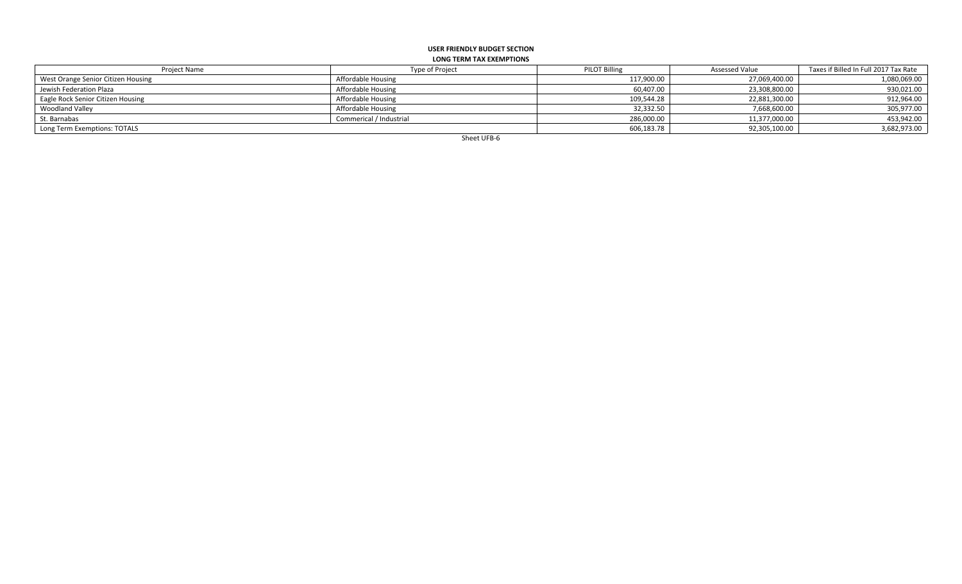#### **USER FRIENDLY BUDGET SECTION LONG TERM TAX EXEMPTIONS**

| Project Name                       | <b>Type of Project</b>  | <b>PILOT Billing</b> | <b>Assessed Value</b> | Taxes if Billed In Full 2017 Tax Rate |
|------------------------------------|-------------------------|----------------------|-----------------------|---------------------------------------|
| West Orange Senior Citizen Housing | Affordable Housing      | 117,900.00           | 27,069,400.00         | 1,080,069.00                          |
| Jewish Federation Plaza            | Affordable Housing      | 60,407.00            | 23,308,800.00         | 930,021.00                            |
| Eagle Rock Senior Citizen Housing  | Affordable Housing      | 109,544.28           | 22,881,300.00         | 912,964.00                            |
| <b>Woodland Valley</b>             | Affordable Housing      | 32,332.50            | 7,668,600.00          | 305,977.00                            |
| St. Barnabas                       | Commerical / Industrial | 286,000.00           | 11,377,000.00         | 453,942.00                            |
| Long Term Exemptions: TOTALS       |                         | 606,183.78           | 92,305,100.00         | 3,682,973.00                          |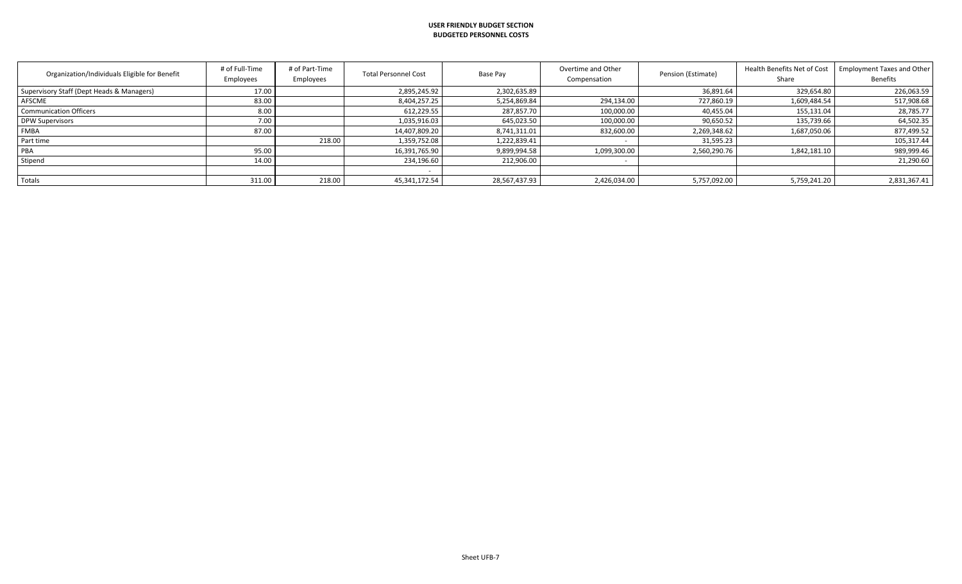#### **USER FRIENDLY BUDGET SECTION BUDGETED PERSONNEL COSTS**

| Organization/Individuals Eligible for Benefit | # of Full-Time<br>Employees | # of Part-Time<br>Employees | <b>Total Personnel Cost</b> | Base Pay      | Overtime and Other<br>Compensation | Pension (Estimate) | Health Benefits Net of Cost<br>Share | <b>Employment Taxes and Other</b><br><b>Benefits</b> |
|-----------------------------------------------|-----------------------------|-----------------------------|-----------------------------|---------------|------------------------------------|--------------------|--------------------------------------|------------------------------------------------------|
| Supervisory Staff (Dept Heads & Managers)     | 17.00                       |                             | 2,895,245.92                | 2,302,635.89  |                                    | 36,891.64          | 329,654.80                           | 226,063.59                                           |
| AFSCME                                        | 83.00                       |                             | 8,404,257.25                | 5,254,869.84  | 294,134.00                         | 727,860.19         | 1,609,484.54                         | 517,908.68                                           |
| <b>Communication Officers</b>                 | 8.00                        |                             | 612,229.55                  | 287,857.70    | 100,000.00                         | 40,455.04          | 155,131.04                           | 28,785.77                                            |
| DPW Supervisors                               | 7.00                        |                             | 1,035,916.03                | 645,023.50    | 100,000.00                         | 90,650.52          | 135,739.66                           | 64,502.35                                            |
| <b>FMBA</b>                                   | 87.00                       |                             | 14,407,809.20               | 8,741,311.01  | 832,600.00                         | 2,269,348.62       | 1,687,050.06                         | 877,499.52                                           |
| Part time                                     |                             | 218.00                      | 1,359,752.08                | 1,222,839.41  |                                    | 31,595.23          |                                      | 105,317.44                                           |
| PBA                                           | 95.00                       |                             | 16,391,765.90               | 9,899,994.58  | 1,099,300.00                       | 2,560,290.76       | 1,842,181.10                         | 989,999.46                                           |
| Stipend                                       | 14.00                       |                             | 234,196.60                  | 212,906.00    |                                    |                    |                                      | 21,290.60                                            |
|                                               |                             |                             |                             |               |                                    |                    |                                      |                                                      |
| Totals                                        | 311.00                      | 218.00                      | 45,341,172.54               | 28,567,437.93 | 2,426,034.00                       | 5,757,092.00       | 5,759,241.20                         | 2,831,367.41                                         |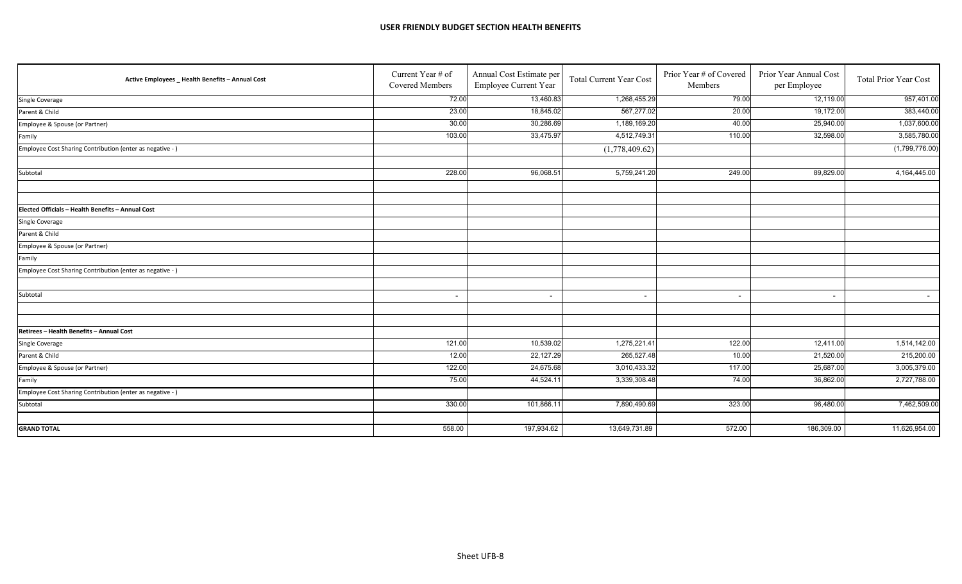#### **USER FRIENDLY BUDGET SECTION HEALTH BENEFITS**

| Active Employees _ Health Benefits - Annual Cost          | Current Year # of<br>Covered Members | Annual Cost Estimate per<br>Employee Current Year | <b>Total Current Year Cost</b> | Prior Year # of Covered<br>Members | Prior Year Annual Cost<br>per Employee | <b>Total Prior Year Cost</b> |
|-----------------------------------------------------------|--------------------------------------|---------------------------------------------------|--------------------------------|------------------------------------|----------------------------------------|------------------------------|
| Single Coverage                                           | 72.00                                | 13,460.83                                         | 1,268,455.29                   | 79.00                              | 12,119.00                              | 957,401.00                   |
| Parent & Child                                            | 23.00                                | 18,845.02                                         | 567,277.02                     | 20.00                              | 19,172.00                              | 383,440.00                   |
| Employee & Spouse (or Partner)                            | 30.00                                | 30,286.69                                         | 1,189,169.20                   | 40.00                              | 25,940.00                              | 1,037,600.00                 |
| Family                                                    | 103.00                               | 33,475.97                                         | 4,512,749.31                   | 110.00                             | 32,598.00                              | 3,585,780.00                 |
| Employee Cost Sharing Contribution (enter as negative - ) |                                      |                                                   | (1,778,409.62)                 |                                    |                                        | (1,799,776.00)               |
| Subtotal                                                  | 228.00                               | 96,068.51                                         | 5,759,241.20                   | 249.00                             | 89,829.00                              | 4,164,445.00                 |
|                                                           |                                      |                                                   |                                |                                    |                                        |                              |
| Elected Officials - Health Benefits - Annual Cost         |                                      |                                                   |                                |                                    |                                        |                              |
| Single Coverage                                           |                                      |                                                   |                                |                                    |                                        |                              |
| Parent & Child                                            |                                      |                                                   |                                |                                    |                                        |                              |
| Employee & Spouse (or Partner)                            |                                      |                                                   |                                |                                    |                                        |                              |
| Family                                                    |                                      |                                                   |                                |                                    |                                        |                              |
| Employee Cost Sharing Contribution (enter as negative - ) |                                      |                                                   |                                |                                    |                                        |                              |
| Subtotal                                                  | $\overline{\phantom{a}}$             | $\overline{\phantom{a}}$                          |                                | $\overline{\phantom{a}}$           | $\overline{\phantom{a}}$               | $\sim$                       |
|                                                           |                                      |                                                   |                                |                                    |                                        |                              |
| Retirees - Health Benefits - Annual Cost                  |                                      |                                                   |                                |                                    |                                        |                              |
| Single Coverage                                           | 121.00                               | 10,539.02                                         | 1,275,221.41                   | 122.00                             | 12,411.00                              | 1,514,142.00                 |
| Parent & Child                                            | 12.00                                | 22,127.29                                         | 265,527.48                     | 10.00                              | 21,520.00                              | 215,200.00                   |
| Employee & Spouse (or Partner)                            | 122.00                               | 24,675.68                                         | 3,010,433.32                   | 117.00                             | 25,687.00                              | 3,005,379.00                 |
| Family                                                    | 75.00                                | 44,524.11                                         | 3,339,308.48                   | 74.00                              | 36,862.00                              | 2,727,788.00                 |
| Employee Cost Sharing Contribution (enter as negative - ) |                                      |                                                   |                                |                                    |                                        |                              |
| Subtotal                                                  | 330.00                               | 101,866.11                                        | 7,890,490.69                   | 323.00                             | 96,480.00                              | 7,462,509.00                 |
|                                                           |                                      |                                                   |                                |                                    |                                        |                              |
| <b>GRAND TOTAL</b>                                        | 558.00                               | 197,934.62                                        | 13,649,731.89                  | 572.00                             | 186,309.00                             | 11,626,954.00                |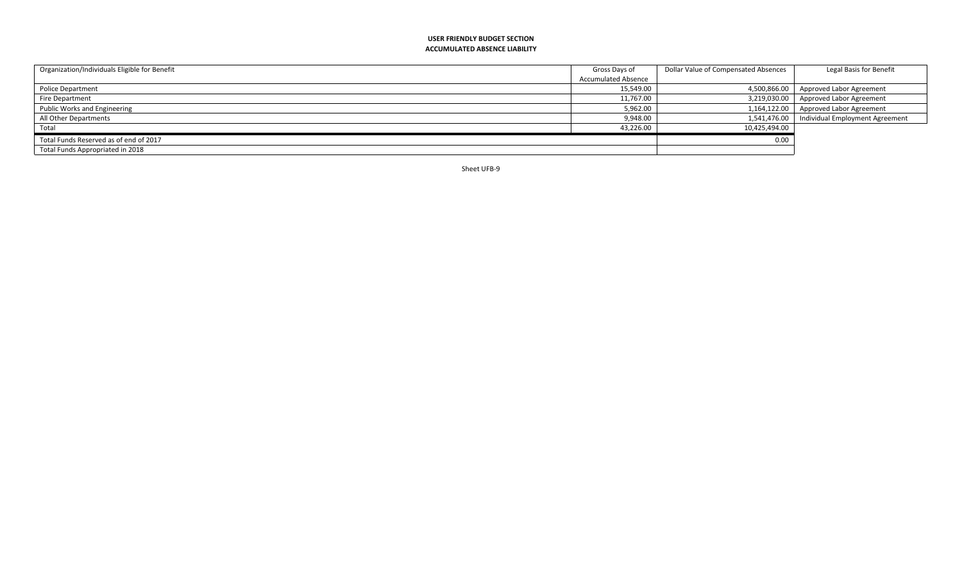#### **USER FRIENDLY BUDGET SECTION ACCUMULATED ABSENCE LIABILITY**

| Organization/Individuals Eligible for Benefit | Gross Days of       | Dollar Value of Compensated Absences | Legal Basis for Benefit                 |
|-----------------------------------------------|---------------------|--------------------------------------|-----------------------------------------|
|                                               | Accumulated Absence |                                      |                                         |
| <b>Police Department</b>                      | 15,549.00           | 4,500,866.00                         | Approved Labor Agreement                |
| Fire Department                               | 11,767.00           |                                      | 3,219,030.00   Approved Labor Agreement |
| Public Works and Engineering                  | 5,962.00            |                                      | 1,164,122.00   Approved Labor Agreement |
| All Other Departments                         | 9,948.00            | 1,541,476.00                         | Individual Employment Agreement         |
| Total                                         | 43,226.00           | 10,425,494.00                        |                                         |
| Total Funds Reserved as of end of 2017        |                     | 0.00                                 |                                         |
| Total Funds Appropriated in 2018              |                     |                                      |                                         |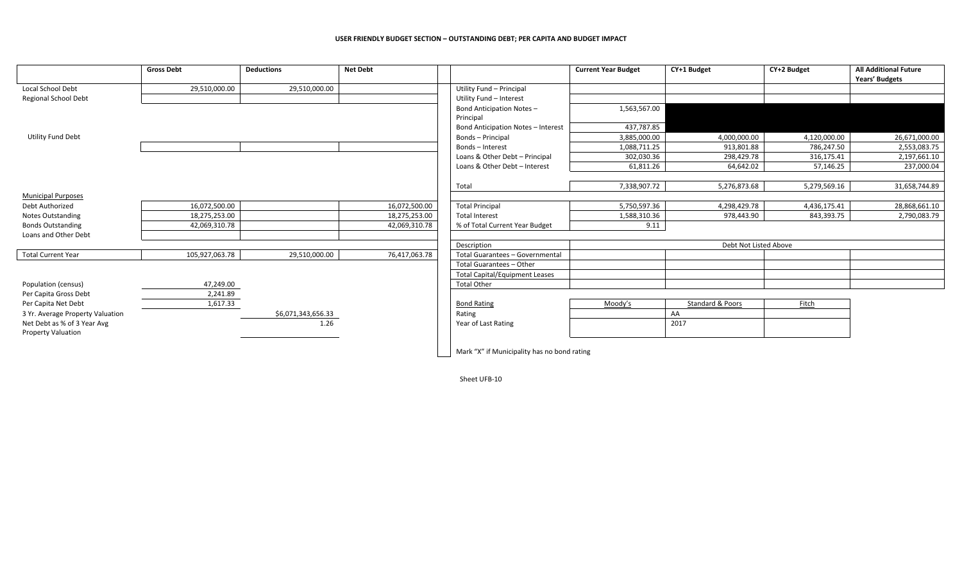#### **USER FRIENDLY BUDGET SECTION – OUTSTANDING DEBT; PER CAPITA AND BUDGET IMPACT**

|                                  | <b>Gross Debt</b> | <b>Deductions</b>  | <b>Net Debt</b> |                                             | <b>Current Year Budget</b> | CY+1 Budget      | CY+2 Budget  | <b>All Additional Future</b><br>Years' Budgets |
|----------------------------------|-------------------|--------------------|-----------------|---------------------------------------------|----------------------------|------------------|--------------|------------------------------------------------|
| Local School Debt                | 29,510,000.00     | 29,510,000.00      |                 | Utility Fund - Principal                    |                            |                  |              |                                                |
| <b>Regional School Debt</b>      |                   |                    |                 | Utility Fund - Interest                     |                            |                  |              |                                                |
|                                  |                   |                    |                 | <b>Bond Anticipation Notes-</b>             | 1,563,567.00               |                  |              |                                                |
|                                  |                   |                    |                 | Principal                                   |                            |                  |              |                                                |
|                                  |                   |                    |                 | <b>Bond Anticipation Notes - Interest</b>   | 437,787.85                 |                  |              |                                                |
| <b>Utility Fund Debt</b>         |                   |                    |                 | Bonds - Principal                           | 3,885,000.00               | 4,000,000.00     | 4,120,000.00 | 26,671,000.00                                  |
|                                  |                   |                    |                 | Bonds - Interest                            | 1,088,711.25               | 913,801.88       | 786,247.50   | 2,553,083.75                                   |
|                                  |                   |                    |                 | Loans & Other Debt - Principal              | 302,030.36                 | 298,429.78       | 316,175.41   | 2,197,661.10                                   |
|                                  |                   |                    |                 | Loans & Other Debt - Interest               | 61,811.26                  | 64,642.02        | 57,146.25    | 237,000.04                                     |
|                                  |                   |                    |                 |                                             |                            |                  |              |                                                |
|                                  |                   |                    |                 | Total                                       | 7,338,907.72               | 5,276,873.68     | 5,279,569.16 | 31,658,744.89                                  |
| <b>Municipal Purposes</b>        |                   |                    |                 |                                             |                            |                  |              |                                                |
| Debt Authorized                  | 16,072,500.00     |                    | 16,072,500.00   | <b>Total Principal</b>                      | 5,750,597.36               | 4,298,429.78     | 4,436,175.41 | 28,868,661.10                                  |
| <b>Notes Outstanding</b>         | 18,275,253.00     |                    | 18,275,253.00   | <b>Total Interest</b>                       | 1,588,310.36               | 978,443.90       | 843,393.75   | 2,790,083.79                                   |
| <b>Bonds Outstanding</b>         | 42,069,310.78     |                    | 42,069,310.78   | % of Total Current Year Budget              | 9.11                       |                  |              |                                                |
| Loans and Other Debt             |                   |                    |                 |                                             |                            |                  |              |                                                |
|                                  |                   |                    |                 | Description                                 | Debt Not Listed Above      |                  |              |                                                |
| <b>Total Current Year</b>        | 105,927,063.78    | 29,510,000.00      | 76,417,063.78   | Total Guarantees - Governmental             |                            |                  |              |                                                |
|                                  |                   |                    |                 | Total Guarantees - Other                    |                            |                  |              |                                                |
|                                  |                   |                    |                 | <b>Total Capital/Equipment Leases</b>       |                            |                  |              |                                                |
| Population (census)              | 47,249.00         |                    |                 | <b>Total Other</b>                          |                            |                  |              |                                                |
| Per Capita Gross Debt            | 2,241.89          |                    |                 |                                             |                            |                  |              |                                                |
| Per Capita Net Debt              | 1,617.33          |                    |                 | <b>Bond Rating</b>                          | Moody's                    | Standard & Poors | Fitch        |                                                |
| 3 Yr. Average Property Valuation |                   | \$6,071,343,656.33 |                 | Rating                                      |                            | AA               |              |                                                |
| Net Debt as % of 3 Year Avg      |                   | 1.26               |                 | Year of Last Rating                         |                            | 2017             |              |                                                |
| <b>Property Valuation</b>        |                   |                    |                 |                                             |                            |                  |              |                                                |
|                                  |                   |                    |                 |                                             |                            |                  |              |                                                |
|                                  |                   |                    |                 | Mark "X" if Municipality has no bond rating |                            |                  |              |                                                |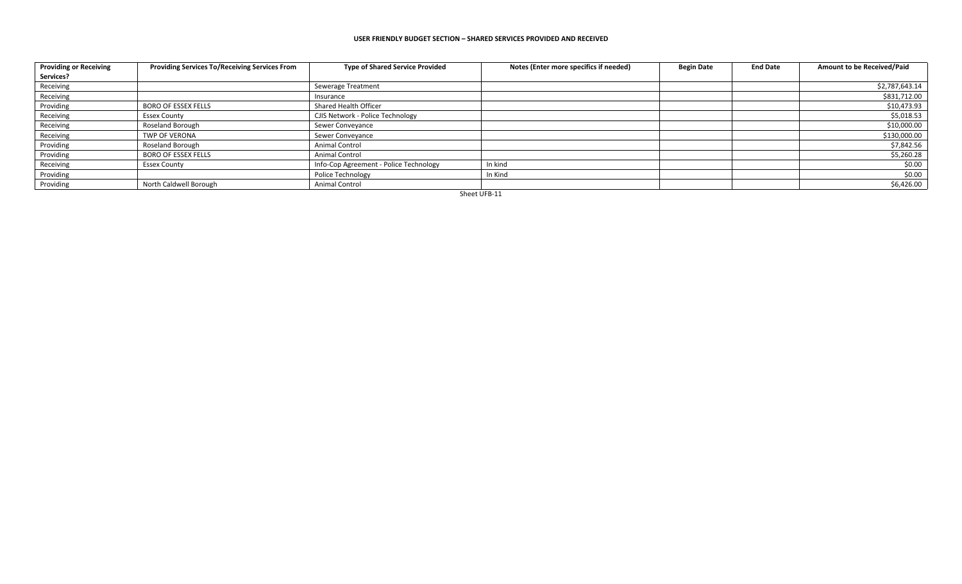#### **USER FRIENDLY BUDGET SECTION – SHARED SERVICES PROVIDED AND RECEIVED**

| <b>Providing or Receiving</b> | Providing Services To/Receiving Services From | <b>Type of Shared Service Provided</b> | Notes (Enter more specifics if needed) | <b>Begin Date</b> | <b>End Date</b> | Amount to be Received/Paid |
|-------------------------------|-----------------------------------------------|----------------------------------------|----------------------------------------|-------------------|-----------------|----------------------------|
| Services?                     |                                               |                                        |                                        |                   |                 |                            |
| Receiving                     |                                               | Sewerage Treatment                     |                                        |                   |                 | \$2,787,643.14             |
| Receiving                     |                                               | Insurance                              |                                        |                   |                 | \$831,712.00               |
| Providing                     | <b>BORO OF ESSEX FELLS</b>                    | Shared Health Officer                  |                                        |                   |                 | \$10,473.93                |
| Receiving                     | <b>Essex County</b>                           | CJIS Network - Police Technology       |                                        |                   |                 | \$5,018.53                 |
| Receiving                     | Roseland Borough                              | Sewer Conveyance                       |                                        |                   |                 | \$10,000.00                |
| Receiving                     | <b>TWP OF VERONA</b>                          | Sewer Conveyance                       |                                        |                   |                 | \$130,000.00               |
| Providing                     | <b>Roseland Borough</b>                       | Animal Control                         |                                        |                   |                 | \$7,842.56                 |
| Providing                     | <b>BORO OF ESSEX FELLS</b>                    | Animal Control                         |                                        |                   |                 | \$5,260.28                 |
| Receiving                     | <b>Essex County</b>                           | Info-Cop Agreement - Police Technology | In kind                                |                   |                 | \$0.00                     |
| Providing                     |                                               | Police Technology                      | In Kind                                |                   |                 | \$0.00                     |
| Providing                     | North Caldwell Borough                        | Animal Control                         |                                        |                   |                 | \$6,426.00                 |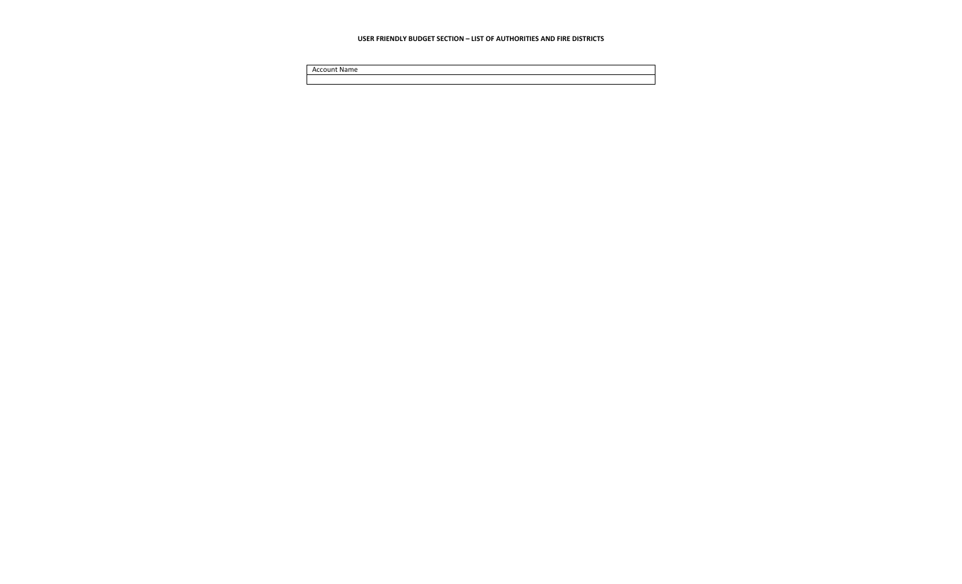#### **USER FRIENDLY BUDGET SECTION – LIST OF AUTHORITIES AND FIRE DISTRICTS**

Account Name